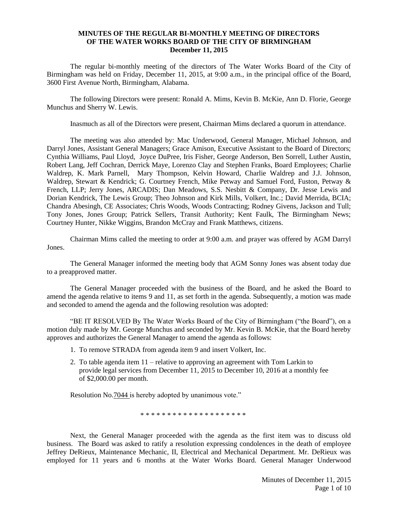## **MINUTES OF THE REGULAR BI-MONTHLY MEETING OF DIRECTORS OF THE WATER WORKS BOARD OF THE CITY OF BIRMINGHAM December 11, 2015**

The regular bi-monthly meeting of the directors of The Water Works Board of the City of Birmingham was held on Friday, December 11, 2015, at 9:00 a.m., in the principal office of the Board, 3600 First Avenue North, Birmingham, Alabama.

The following Directors were present: Ronald A. Mims, Kevin B. McKie, Ann D. Florie, George Munchus and Sherry W. Lewis.

Inasmuch as all of the Directors were present, Chairman Mims declared a quorum in attendance.

The meeting was also attended by: Mac Underwood, General Manager, Michael Johnson, and Darryl Jones, Assistant General Managers; Grace Amison, Executive Assistant to the Board of Directors; Cynthia Williams, Paul Lloyd, Joyce DuPree, Iris Fisher, George Anderson, Ben Sorrell, Luther Austin, Robert Lang, Jeff Cochran, Derrick Maye, Lorenzo Clay and Stephen Franks, Board Employees; Charlie Waldrep, K. Mark Parnell, Mary Thompson, Kelvin Howard, Charlie Waldrep and J.J. Johnson, Waldrep, Stewart & Kendrick; G. Courtney French, Mike Petway and Samuel Ford, Fuston, Petway & French, LLP; Jerry Jones, ARCADIS; Dan Meadows, S.S. Nesbitt & Company, Dr. Jesse Lewis and Dorian Kendrick, The Lewis Group; Theo Johnson and Kirk Mills, Volkert, Inc.; David Merrida, BCIA; Chandra Abesingh, CE Associates; Chris Woods, Woods Contracting; Rodney Givens, Jackson and Tull; Tony Jones, Jones Group; Patrick Sellers, Transit Authority; Kent Faulk, The Birmingham News; Courtney Hunter, Nikke Wiggins, Brandon McCray and Frank Matthews, citizens.

Chairman Mims called the meeting to order at 9:00 a.m. and prayer was offered by AGM Darryl Jones.

The General Manager informed the meeting body that AGM Sonny Jones was absent today due to a preapproved matter.

The General Manager proceeded with the business of the Board, and he asked the Board to amend the agenda relative to items 9 and 11, as set forth in the agenda. Subsequently, a motion was made and seconded to amend the agenda and the following resolution was adopted:

"BE IT RESOLVED By The Water Works Board of the City of Birmingham ("the Board"), on a motion duly made by Mr. George Munchus and seconded by Mr. Kevin B. McKie, that the Board hereby approves and authorizes the General Manager to amend the agenda as follows:

- 1. To remove STRADA from agenda item 9 and insert Volkert, Inc.
- 2. To table agenda item 11 relative to approving an agreement with Tom Larkin to provide legal services from December 11, 2015 to December 10, 2016 at a monthly fee of \$2,000.00 per month.

Resolution No. 7044 is hereby adopted by unanimous vote."

\* \* \* \* \* \* \* \* \* \* \* \* \* \* \* \* \* \* \*

Next, the General Manager proceeded with the agenda as the first item was to discuss old business. The Board was asked to ratify a resolution expressing condolences in the death of employee Jeffrey DeRieux, Maintenance Mechanic, II, Electrical and Mechanical Department. Mr. DeRieux was employed for 11 years and 6 months at the Water Works Board. General Manager Underwood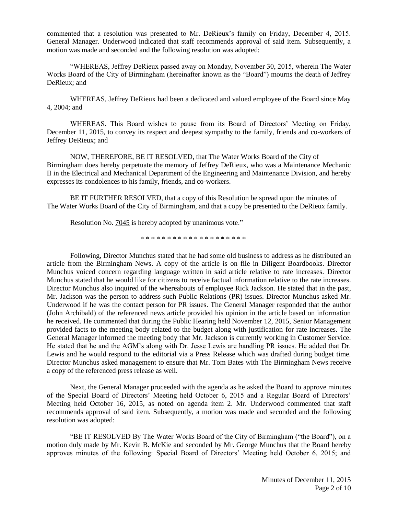commented that a resolution was presented to Mr. DeRieux's family on Friday, December 4, 2015. General Manager. Underwood indicated that staff recommends approval of said item. Subsequently, a motion was made and seconded and the following resolution was adopted:

"WHEREAS, Jeffrey DeRieux passed away on Monday, November 30, 2015, wherein The Water Works Board of the City of Birmingham (hereinafter known as the "Board") mourns the death of Jeffrey DeRieux; and

WHEREAS, Jeffrey DeRieux had been a dedicated and valued employee of the Board since May 4, 2004; and

WHEREAS, This Board wishes to pause from its Board of Directors' Meeting on Friday, December 11, 2015, to convey its respect and deepest sympathy to the family, friends and co-workers of Jeffrey DeRieux; and

NOW, THEREFORE, BE IT RESOLVED, that The Water Works Board of the City of Birmingham does hereby perpetuate the memory of Jeffrey DeRieux, who was a Maintenance Mechanic II in the Electrical and Mechanical Department of the Engineering and Maintenance Division, and hereby expresses its condolences to his family, friends, and co-workers.

BE IT FURTHER RESOLVED, that a copy of this Resolution be spread upon the minutes of The Water Works Board of the City of Birmingham, and that a copy be presented to the DeRieux family.

Resolution No. 7045 is hereby adopted by unanimous vote."

\* \* \* \* \* \* \* \* \* \* \* \* \* \* \* \* \* \* \* \*

Following, Director Munchus stated that he had some old business to address as he distributed an article from the Birmingham News. A copy of the article is on file in Diligent Boardbooks. Director Munchus voiced concern regarding language written in said article relative to rate increases. Director Munchus stated that he would like for citizens to receive factual information relative to the rate increases. Director Munchus also inquired of the whereabouts of employee Rick Jackson. He stated that in the past, Mr. Jackson was the person to address such Public Relations (PR) issues. Director Munchus asked Mr. Underwood if he was the contact person for PR issues. The General Manager responded that the author (John Archibald) of the referenced news article provided his opinion in the article based on information he received. He commented that during the Public Hearing held November 12, 2015, Senior Management provided facts to the meeting body related to the budget along with justification for rate increases. The General Manager informed the meeting body that Mr. Jackson is currently working in Customer Service. He stated that he and the AGM's along with Dr. Jesse Lewis are handling PR issues. He added that Dr. Lewis and he would respond to the editorial via a Press Release which was drafted during budget time. Director Munchus asked management to ensure that Mr. Tom Bates with The Birmingham News receive a copy of the referenced press release as well.

Next, the General Manager proceeded with the agenda as he asked the Board to approve minutes of the Special Board of Directors' Meeting held October 6, 2015 and a Regular Board of Directors' Meeting held October 16, 2015, as noted on agenda item 2. Mr. Underwood commented that staff recommends approval of said item. Subsequently, a motion was made and seconded and the following resolution was adopted:

"BE IT RESOLVED By The Water Works Board of the City of Birmingham ("the Board"), on a motion duly made by Mr. Kevin B. McKie and seconded by Mr. George Munchus that the Board hereby approves minutes of the following: Special Board of Directors' Meeting held October 6, 2015; and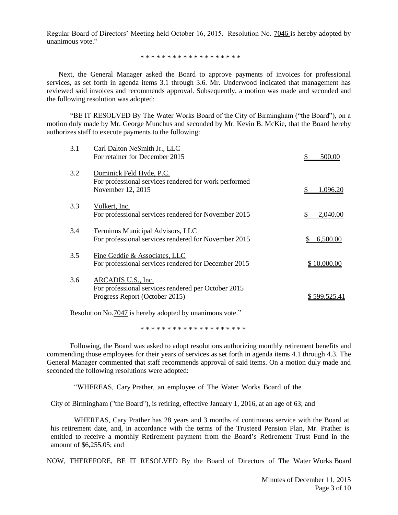Regular Board of Directors' Meeting held October 16, 2015. Resolution No. 7046 is hereby adopted by unanimous vote."

\* \* \* \* \* \* \* \* \* \* \* \* \* \* \* \* \* \* \*

Next, the General Manager asked the Board to approve payments of invoices for professional services, as set forth in agenda items 3.1 through 3.6. Mr. Underwood indicated that management has reviewed said invoices and recommends approval. Subsequently, a motion was made and seconded and the following resolution was adopted:

"BE IT RESOLVED By The Water Works Board of the City of Birmingham ("the Board"), on a motion duly made by Mr. George Munchus and seconded by Mr. Kevin B. McKie, that the Board hereby authorizes staff to execute payments to the following:

| 3.1 | Carl Dalton NeSmith Jr., LLC<br>For retainer for December 2015                                              | 500.00       |
|-----|-------------------------------------------------------------------------------------------------------------|--------------|
| 3.2 | Dominick Feld Hyde, P.C.<br>For professional services rendered for work performed<br>November 12, 2015      | 1,096.20     |
| 3.3 | Volkert, Inc.<br>For professional services rendered for November 2015                                       | 2,040.00     |
| 3.4 | Terminus Municipal Advisors, LLC<br>For professional services rendered for November 2015                    | 6,500.00     |
| 3.5 | Fine Geddie & Associates, LLC<br>For professional services rendered for December 2015                       | \$10,000.00  |
| 3.6 | ARCADIS U.S., Inc.<br>For professional services rendered per October 2015<br>Progress Report (October 2015) | \$599,525.41 |

Resolution No.7047 is hereby adopted by unanimous vote."

\* \* \* \* \* \* \* \* \* \* \* \* \* \* \* \* \* \* \* \*

Following, the Board was asked to adopt resolutions authorizing monthly retirement benefits and commending those employees for their years of services as set forth in agenda items 4.1 through 4.3. The General Manager commented that staff recommends approval of said items. On a motion duly made and seconded the following resolutions were adopted:

"WHEREAS, Cary Prather, an employee of The Water Works Board of the

City of Birmingham ("the Board"), is retiring, effective January 1, 2016, at an age of 63; and

WHEREAS, Cary Prather has 28 years and 3 months of continuous service with the Board at his retirement date, and, in accordance with the terms of the Trusteed Pension Plan, Mr. Prather is entitled to receive a monthly Retirement payment from the Board's Retirement Trust Fund in the amount of \$6,255.05; and

NOW, THEREFORE, BE IT RESOLVED By the Board of Directors of The Water Works Board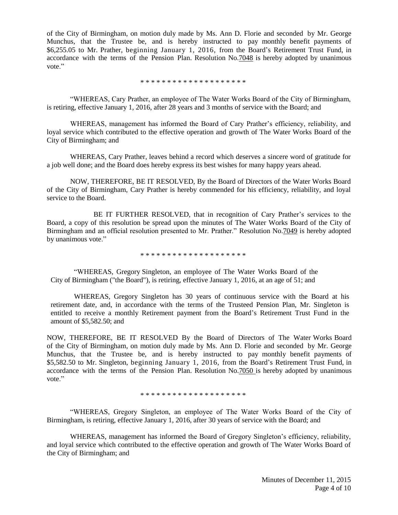of the City of Birmingham, on motion duly made by Ms. Ann D. Florie and seconded by Mr. George Munchus, that the Trustee be, and is hereby instructed to pay monthly benefit payments of \$6,255.05 to Mr. Prather, beginning January 1, 2016, from the Board's Retirement Trust Fund, in accordance with the terms of the Pension Plan. Resolution No.7048 is hereby adopted by unanimous vote."

\* \* \* \* \* \* \* \* \* \* \* \* \* \* \* \* \* \* \* \*

"WHEREAS, Cary Prather, an employee of The Water Works Board of the City of Birmingham, is retiring, effective January 1, 2016, after 28 years and 3 months of service with the Board; and

WHEREAS, management has informed the Board of Cary Prather's efficiency, reliability, and loyal service which contributed to the effective operation and growth of The Water Works Board of the City of Birmingham; and

WHEREAS, Cary Prather, leaves behind a record which deserves a sincere word of gratitude for a job well done; and the Board does hereby express its best wishes for many happy years ahead.

NOW, THEREFORE, BE IT RESOLVED, By the Board of Directors of the Water Works Board of the City of Birmingham, Cary Prather is hereby commended for his efficiency, reliability, and loyal service to the Board.

BE IT FURTHER RESOLVED, that in recognition of Cary Prather's services to the Board, a copy of this resolution be spread upon the minutes of The Water Works Board of the City of Birmingham and an official resolution presented to Mr. Prather." Resolution No.7049 is hereby adopted by unanimous vote."

\* \* \* \* \* \* \* \* \* \* \* \* \* \* \* \* \* \* \* \*

"WHEREAS, Gregory Singleton, an employee of The Water Works Board of the City of Birmingham ("the Board"), is retiring, effective January 1, 2016, at an age of 51; and

WHEREAS, Gregory Singleton has 30 years of continuous service with the Board at his retirement date, and, in accordance with the terms of the Trusteed Pension Plan, Mr. Singleton is entitled to receive a monthly Retirement payment from the Board's Retirement Trust Fund in the amount of \$5,582.50; and

NOW, THEREFORE, BE IT RESOLVED By the Board of Directors of The Water Works Board of the City of Birmingham, on motion duly made by Ms. Ann D. Florie and seconded by Mr. George Munchus, that the Trustee be, and is hereby instructed to pay monthly benefit payments of \$5,582.50 to Mr. Singleton, beginning January 1, 2016, from the Board's Retirement Trust Fund, in accordance with the terms of the Pension Plan. Resolution No.7050 is hereby adopted by unanimous vote."

\* \* \* \* \* \* \* \* \* \* \* \* \* \* \* \* \* \* \* \*

"WHEREAS, Gregory Singleton, an employee of The Water Works Board of the City of Birmingham, is retiring, effective January 1, 2016, after 30 years of service with the Board; and

WHEREAS, management has informed the Board of Gregory Singleton's efficiency, reliability, and loyal service which contributed to the effective operation and growth of The Water Works Board of the City of Birmingham; and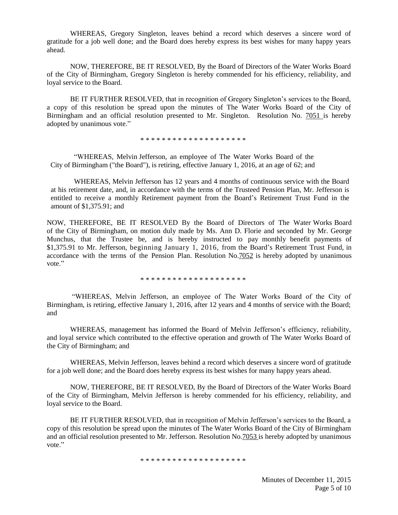WHEREAS, Gregory Singleton, leaves behind a record which deserves a sincere word of gratitude for a job well done; and the Board does hereby express its best wishes for many happy years ahead.

NOW, THEREFORE, BE IT RESOLVED, By the Board of Directors of the Water Works Board of the City of Birmingham, Gregory Singleton is hereby commended for his efficiency, reliability, and loyal service to the Board.

BE IT FURTHER RESOLVED, that in recognition of Gregory Singleton's services to the Board, a copy of this resolution be spread upon the minutes of The Water Works Board of the City of Birmingham and an official resolution presented to Mr. Singleton. Resolution No. 7051 is hereby adopted by unanimous vote."

\* \* \* \* \* \* \* \* \* \* \* \* \* \* \* \* \* \* \* \*

"WHEREAS, Melvin Jefferson, an employee of The Water Works Board of the City of Birmingham ("the Board"), is retiring, effective January 1, 2016, at an age of 62; and

WHEREAS, Melvin Jefferson has 12 years and 4 months of continuous service with the Board at his retirement date, and, in accordance with the terms of the Trusteed Pension Plan, Mr. Jefferson is entitled to receive a monthly Retirement payment from the Board's Retirement Trust Fund in the amount of \$1,375.91; and

NOW, THEREFORE, BE IT RESOLVED By the Board of Directors of The Water Works Board of the City of Birmingham, on motion duly made by Ms. Ann D. Florie and seconded by Mr. George Munchus, that the Trustee be, and is hereby instructed to pay monthly benefit payments of \$1,375.91 to Mr. Jefferson, beginning January 1, 2016, from the Board's Retirement Trust Fund, in accordance with the terms of the Pension Plan. Resolution No.7052 is hereby adopted by unanimous vote."

\* \* \* \* \* \* \* \* \* \* \* \* \* \* \* \* \* \* \* \*

"WHEREAS, Melvin Jefferson, an employee of The Water Works Board of the City of Birmingham, is retiring, effective January 1, 2016, after 12 years and 4 months of service with the Board; and

WHEREAS, management has informed the Board of Melvin Jefferson's efficiency, reliability, and loyal service which contributed to the effective operation and growth of The Water Works Board of the City of Birmingham; and

WHEREAS, Melvin Jefferson, leaves behind a record which deserves a sincere word of gratitude for a job well done; and the Board does hereby express its best wishes for many happy years ahead.

NOW, THEREFORE, BE IT RESOLVED, By the Board of Directors of the Water Works Board of the City of Birmingham, Melvin Jefferson is hereby commended for his efficiency, reliability, and loyal service to the Board.

 BE IT FURTHER RESOLVED, that in recognition of Melvin Jefferson's services to the Board, a copy of this resolution be spread upon the minutes of The Water Works Board of the City of Birmingham and an official resolution presented to Mr. Jefferson. Resolution No.7053 is hereby adopted by unanimous vote."

\* \* \* \* \* \* \* \* \* \* \* \* \* \* \* \* \* \* \*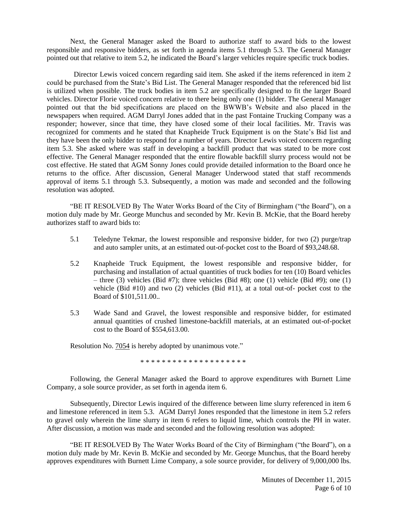Next, the General Manager asked the Board to authorize staff to award bids to the lowest responsible and responsive bidders, as set forth in agenda items 5.1 through 5.3. The General Manager pointed out that relative to item 5.2, he indicated the Board's larger vehicles require specific truck bodies.

Director Lewis voiced concern regarding said item. She asked if the items referenced in item 2 could be purchased from the State's Bid List. The General Manager responded that the referenced bid list is utilized when possible. The truck bodies in item 5.2 are specifically designed to fit the larger Board vehicles. Director Florie voiced concern relative to there being only one (1) bidder. The General Manager pointed out that the bid specifications are placed on the BWWB's Website and also placed in the newspapers when required. AGM Darryl Jones added that in the past Fontaine Trucking Company was a responder; however, since that time, they have closed some of their local facilities. Mr. Travis was recognized for comments and he stated that Knapheide Truck Equipment is on the State's Bid list and they have been the only bidder to respond for a number of years. Director Lewis voiced concern regarding item 5.3. She asked where was staff in developing a backfill product that was stated to be more cost effective. The General Manager responded that the entire flowable backfill slurry process would not be cost effective. He stated that AGM Sonny Jones could provide detailed information to the Board once he returns to the office. After discussion, General Manager Underwood stated that staff recommends approval of items 5.1 through 5.3. Subsequently, a motion was made and seconded and the following resolution was adopted.

"BE IT RESOLVED By The Water Works Board of the City of Birmingham ("the Board"), on a motion duly made by Mr. George Munchus and seconded by Mr. Kevin B. McKie, that the Board hereby authorizes staff to award bids to:

- 5.1 Teledyne Tekmar, the lowest responsible and responsive bidder, for two (2) purge/trap and auto sampler units, at an estimated out-of-pocket cost to the Board of \$93,248.68.
- 5.2 Knapheide Truck Equipment, the lowest responsible and responsive bidder, for purchasing and installation of actual quantities of truck bodies for ten (10) Board vehicles – three (3) vehicles (Bid #7); three vehicles (Bid #8); one (1) vehicle (Bid #9); one (1) vehicle (Bid #10) and two (2) vehicles (Bid #11), at a total out-of- pocket cost to the Board of \$101,511.00..
- 5.3 Wade Sand and Gravel, the lowest responsible and responsive bidder, for estimated annual quantities of crushed limestone-backfill materials, at an estimated out-of-pocket cost to the Board of \$554,613.00.

Resolution No. 7054 is hereby adopted by unanimous vote."

\* \* \* \* \* \* \* \* \* \* \* \* \* \* \* \* \* \* \* \*

Following, the General Manager asked the Board to approve expenditures with Burnett Lime Company, a sole source provider, as set forth in agenda item 6.

Subsequently, Director Lewis inquired of the difference between lime slurry referenced in item 6 and limestone referenced in item 5.3. AGM Darryl Jones responded that the limestone in item 5.2 refers to gravel only wherein the lime slurry in item 6 refers to liquid lime, which controls the PH in water. After discussion, a motion was made and seconded and the following resolution was adopted:

"BE IT RESOLVED By The Water Works Board of the City of Birmingham ("the Board"), on a motion duly made by Mr. Kevin B. McKie and seconded by Mr. George Munchus, that the Board hereby approves expenditures with Burnett Lime Company, a sole source provider, for delivery of 9,000,000 lbs.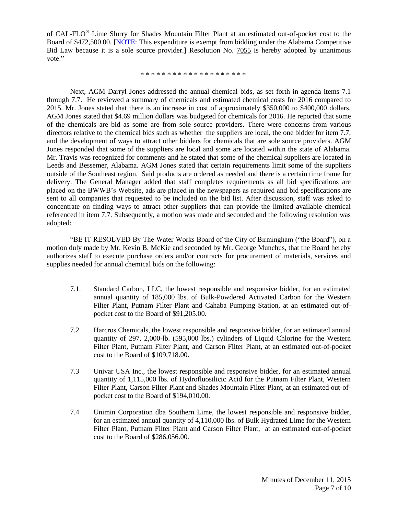of CAL-FLO<sup>®</sup> Lime Slurry for Shades Mountain Filter Plant at an estimated out-of-pocket cost to the Board of \$472,500.00. [NOTE: This expenditure is exempt from bidding under the Alabama Competitive Bid Law because it is a sole source provider.] Resolution No. 7055 is hereby adopted by unanimous vote"

\* \* \* \* \* \* \* \* \* \* \* \* \* \* \* \* \* \* \* \*

Next, AGM Darryl Jones addressed the annual chemical bids, as set forth in agenda items 7.1 through 7.7. He reviewed a summary of chemicals and estimated chemical costs for 2016 compared to 2015. Mr. Jones stated that there is an increase in cost of approximately \$350,000 to \$400,000 dollars. AGM Jones stated that \$4.69 million dollars was budgeted for chemicals for 2016. He reported that some of the chemicals are bid as some are from sole source providers. There were concerns from various directors relative to the chemical bids such as whether the suppliers are local, the one bidder for item 7.7, and the development of ways to attract other bidders for chemicals that are sole source providers. AGM Jones responded that some of the suppliers are local and some are located within the state of Alabama. Mr. Travis was recognized for comments and he stated that some of the chemical suppliers are located in Leeds and Bessemer, Alabama. AGM Jones stated that certain requirements limit some of the suppliers outside of the Southeast region. Said products are ordered as needed and there is a certain time frame for delivery. The General Manager added that staff completes requirements as all bid specifications are placed on the BWWB's Website, ads are placed in the newspapers as required and bid specifications are sent to all companies that requested to be included on the bid list. After discussion, staff was asked to concentrate on finding ways to attract other suppliers that can provide the limited available chemical referenced in item 7.7. Subsequently, a motion was made and seconded and the following resolution was adopted:

"BE IT RESOLVED By The Water Works Board of the City of Birmingham ("the Board"), on a motion duly made by Mr. Kevin B. McKie and seconded by Mr. George Munchus, that the Board hereby authorizes staff to execute purchase orders and/or contracts for procurement of materials, services and supplies needed for annual chemical bids on the following:

- 7.1. Standard Carbon, LLC, the lowest responsible and responsive bidder, for an estimated annual quantity of 185,000 lbs. of Bulk-Powdered Activated Carbon for the Western Filter Plant, Putnam Filter Plant and Cahaba Pumping Station, at an estimated out-ofpocket cost to the Board of \$91,205.00.
- 7.2 Harcros Chemicals, the lowest responsible and responsive bidder, for an estimated annual quantity of 297, 2,000-lb. (595,000 lbs.) cylinders of Liquid Chlorine for the Western Filter Plant, Putnam Filter Plant, and Carson Filter Plant, at an estimated out-of-pocket cost to the Board of \$109,718.00.
- 7.3 Univar USA Inc., the lowest responsible and responsive bidder, for an estimated annual quantity of 1,115,000 lbs. of Hydrofluosilicic Acid for the Putnam Filter Plant, Western Filter Plant, Carson Filter Plant and Shades Mountain Filter Plant, at an estimated out-ofpocket cost to the Board of \$194,010.00.
- 7.4 Unimin Corporation dba Southern Lime, the lowest responsible and responsive bidder, for an estimated annual quantity of 4,110,000 lbs. of Bulk Hydrated Lime for the Western Filter Plant, Putnam Filter Plant and Carson Filter Plant, at an estimated out-of-pocket cost to the Board of \$286,056.00.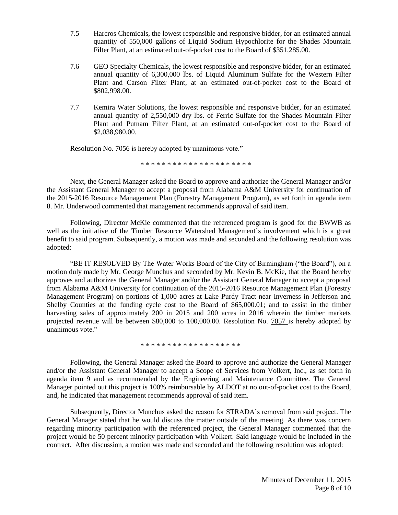- 7.5 Harcros Chemicals, the lowest responsible and responsive bidder, for an estimated annual quantity of 550,000 gallons of Liquid Sodium Hypochlorite for the Shades Mountain Filter Plant, at an estimated out-of-pocket cost to the Board of \$351,285.00.
- 7.6 GEO Specialty Chemicals, the lowest responsible and responsive bidder, for an estimated annual quantity of 6,300,000 lbs. of Liquid Aluminum Sulfate for the Western Filter Plant and Carson Filter Plant, at an estimated out-of-pocket cost to the Board of \$802,998.00.
- 7.7 Kemira Water Solutions, the lowest responsible and responsive bidder, for an estimated annual quantity of 2,550,000 dry lbs. of Ferric Sulfate for the Shades Mountain Filter Plant and Putnam Filter Plant, at an estimated out-of-pocket cost to the Board of \$2,038,980.00.

Resolution No. 7056 is hereby adopted by unanimous vote."

\* \* \* \* \* \* \* \* \* \* \* \* \* \* \* \* \* \* \* \*

Next, the General Manager asked the Board to approve and authorize the General Manager and/or the Assistant General Manager to accept a proposal from Alabama A&M University for continuation of the 2015-2016 Resource Management Plan (Forestry Management Program), as set forth in agenda item 8. Mr. Underwood commented that management recommends approval of said item.

Following, Director McKie commented that the referenced program is good for the BWWB as well as the initiative of the Timber Resource Watershed Management's involvement which is a great benefit to said program. Subsequently, a motion was made and seconded and the following resolution was adopted:

"BE IT RESOLVED By The Water Works Board of the City of Birmingham ("the Board"), on a motion duly made by Mr. George Munchus and seconded by Mr. Kevin B. McKie, that the Board hereby approves and authorizes the General Manager and/or the Assistant General Manager to accept a proposal from Alabama A&M University for continuation of the 2015-2016 Resource Management Plan (Forestry Management Program) on portions of 1,000 acres at Lake Purdy Tract near Inverness in Jefferson and Shelby Counties at the funding cycle cost to the Board of \$65,000.01; and to assist in the timber harvesting sales of approximately 200 in 2015 and 200 acres in 2016 wherein the timber markets projected revenue will be between \$80,000 to 100,000.00. Resolution No. 7057 is hereby adopted by unanimous vote."

\* \* \* \* \* \* \* \* \* \* \* \* \* \* \* \* \* \* \*

Following, the General Manager asked the Board to approve and authorize the General Manager and/or the Assistant General Manager to accept a Scope of Services from Volkert, Inc., as set forth in agenda item 9 and as recommended by the Engineering and Maintenance Committee. The General Manager pointed out this project is 100% reimbursable by ALDOT at no out-of-pocket cost to the Board, and, he indicated that management recommends approval of said item.

Subsequently, Director Munchus asked the reason for STRADA's removal from said project. The General Manager stated that he would discuss the matter outside of the meeting. As there was concern regarding minority participation with the referenced project, the General Manager commented that the project would be 50 percent minority participation with Volkert. Said language would be included in the contract. After discussion, a motion was made and seconded and the following resolution was adopted: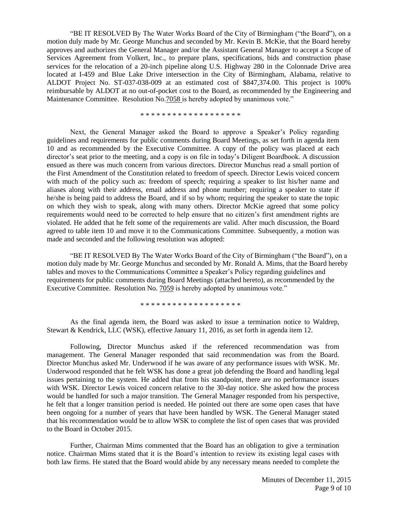"BE IT RESOLVED By The Water Works Board of the City of Birmingham ("the Board"), on a motion duly made by Mr. George Munchus and seconded by Mr. Kevin B. McKie, that the Board hereby approves and authorizes the General Manager and/or the Assistant General Manager to accept a Scope of Services Agreement from Volkert, Inc., to prepare plans, specifications, bids and construction phase services for the relocation of a 20-inch pipeline along U.S. Highway 280 in the Colonnade Drive area located at I-459 and Blue Lake Drive intersection in the City of Birmingham, Alabama, relative to ALDOT Project No. ST-037-038-009 at an estimated cost of \$847,374.00. This project is 100% reimbursable by ALDOT at no out-of-pocket cost to the Board, as recommended by the Engineering and Maintenance Committee. Resolution No.7058 is hereby adopted by unanimous vote."

\* \* \* \* \* \* \* \* \* \* \* \* \* \* \* \* \* \* \*

Next, the General Manager asked the Board to approve a Speaker's Policy regarding guidelines and requirements for public comments during Board Meetings, as set forth in agenda item 10 and as recommended by the Executive Committee. A copy of the policy was placed at each director's seat prior to the meeting, and a copy is on file in today's Diligent Boardbook. A discussion ensued as there was much concern from various directors. Director Munchus read a small portion of the First Amendment of the Constitution related to freedom of speech. Director Lewis voiced concern with much of the policy such as: freedom of speech; requiring a speaker to list his/her name and aliases along with their address, email address and phone number; requiring a speaker to state if he/she is being paid to address the Board, and if so by whom; requiring the speaker to state the topic on which they wish to speak, along with many others. Director McKie agreed that some policy requirements would need to be corrected to help ensure that no citizen's first amendment rights are violated. He added that he felt some of the requirements are valid. After much discussion, the Board agreed to table item 10 and move it to the Communications Committee. Subsequently, a motion was made and seconded and the following resolution was adopted:

"BE IT RESOLVED By The Water Works Board of the City of Birmingham ("the Board"), on a motion duly made by Mr. George Munchus and seconded by Mr. Ronald A. Mims, that the Board hereby tables and moves to the Communications Committee a Speaker's Policy regarding guidelines and requirements for public comments during Board Meetings (attached hereto), as recommended by the Executive Committee. Resolution No. 7059 is hereby adopted by unanimous vote."

\* \* \* \* \* \* \* \* \* \* \* \* \* \* \* \* \* \* \*

As the final agenda item, the Board was asked to issue a termination notice to Waldrep, Stewart & Kendrick, LLC (WSK), effective January 11, 2016, as set forth in agenda item 12.

Following, Director Munchus asked if the referenced recommendation was from management. The General Manager responded that said recommendation was from the Board. Director Munchus asked Mr. Underwood if he was aware of any performance issues with WSK. Mr. Underwood responded that he felt WSK has done a great job defending the Board and handling legal issues pertaining to the system. He added that from his standpoint, there are no performance issues with WSK. Director Lewis voiced concern relative to the 30-day notice. She asked how the process would be handled for such a major transition. The General Manager responded from his perspective, he felt that a longer transition period is needed. He pointed out there are some open cases that have been ongoing for a number of years that have been handled by WSK. The General Manager stated that his recommendation would be to allow WSK to complete the list of open cases that was provided to the Board in October 2015.

Further, Chairman Mims commented that the Board has an obligation to give a termination notice. Chairman Mims stated that it is the Board's intention to review its existing legal cases with both law firms. He stated that the Board would abide by any necessary means needed to complete the